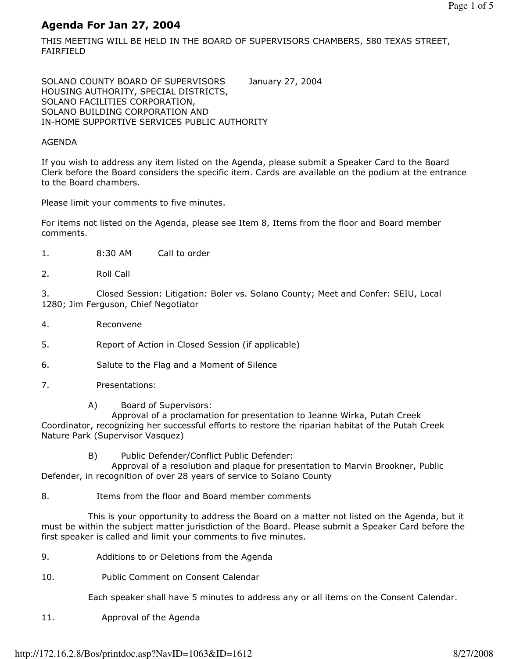# Agenda For Jan 27, 2004

THIS MEETING WILL BE HELD IN THE BOARD OF SUPERVISORS CHAMBERS, 580 TEXAS STREET, FAIRFIELD

SOLANO COUNTY BOARD OF SUPERVISORS January 27, 2004 HOUSING AUTHORITY, SPECIAL DISTRICTS, SOLANO FACILITIES CORPORATION, SOLANO BUILDING CORPORATION AND IN-HOME SUPPORTIVE SERVICES PUBLIC AUTHORITY

### AGENDA

If you wish to address any item listed on the Agenda, please submit a Speaker Card to the Board Clerk before the Board considers the specific item. Cards are available on the podium at the entrance to the Board chambers.

Please limit your comments to five minutes.

For items not listed on the Agenda, please see Item 8, Items from the floor and Board member comments.

- 1. 8:30 AM Call to order
- 2. Roll Call

3. Closed Session: Litigation: Boler vs. Solano County; Meet and Confer: SEIU, Local 1280; Jim Ferguson, Chief Negotiator

- 4. Reconvene
- 5. Report of Action in Closed Session (if applicable)
- 6. Salute to the Flag and a Moment of Silence
- 7. Presentations:
	- A) Board of Supervisors:

 Approval of a proclamation for presentation to Jeanne Wirka, Putah Creek Coordinator, recognizing her successful efforts to restore the riparian habitat of the Putah Creek Nature Park (Supervisor Vasquez)

B) Public Defender/Conflict Public Defender:

 Approval of a resolution and plaque for presentation to Marvin Brookner, Public Defender, in recognition of over 28 years of service to Solano County

8. Items from the floor and Board member comments

 This is your opportunity to address the Board on a matter not listed on the Agenda, but it must be within the subject matter jurisdiction of the Board. Please submit a Speaker Card before the first speaker is called and limit your comments to five minutes.

- 9. Additions to or Deletions from the Agenda
- 10. Public Comment on Consent Calendar

Each speaker shall have 5 minutes to address any or all items on the Consent Calendar.

11. Approval of the Agenda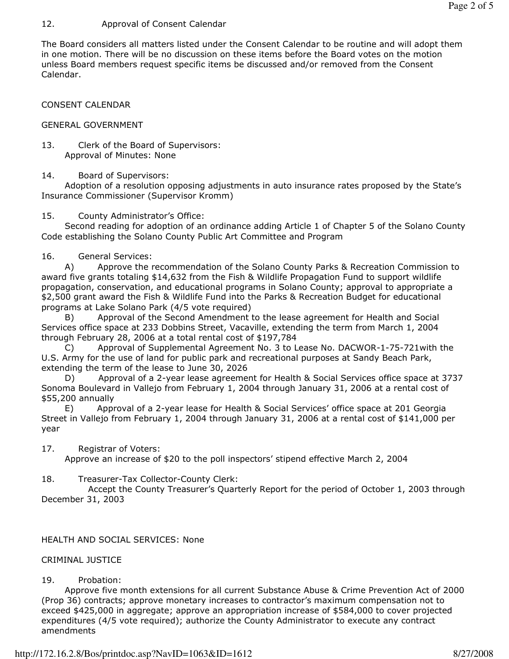### 12. Approval of Consent Calendar

The Board considers all matters listed under the Consent Calendar to be routine and will adopt them in one motion. There will be no discussion on these items before the Board votes on the motion unless Board members request specific items be discussed and/or removed from the Consent Calendar.

CONSENT CALENDAR

#### GENERAL GOVERNMENT

13. Clerk of the Board of Supervisors: Approval of Minutes: None

### 14. Board of Supervisors:

 Adoption of a resolution opposing adjustments in auto insurance rates proposed by the State's Insurance Commissioner (Supervisor Kromm)

#### 15. County Administrator's Office:

 Second reading for adoption of an ordinance adding Article 1 of Chapter 5 of the Solano County Code establishing the Solano County Public Art Committee and Program

#### 16. General Services:

 A) Approve the recommendation of the Solano County Parks & Recreation Commission to award five grants totaling \$14,632 from the Fish & Wildlife Propagation Fund to support wildlife propagation, conservation, and educational programs in Solano County; approval to appropriate a \$2,500 grant award the Fish & Wildlife Fund into the Parks & Recreation Budget for educational programs at Lake Solano Park (4/5 vote required)

 B) Approval of the Second Amendment to the lease agreement for Health and Social Services office space at 233 Dobbins Street, Vacaville, extending the term from March 1, 2004 through February 28, 2006 at a total rental cost of \$197,784

Approval of Supplemental Agreement No. 3 to Lease No. DACWOR-1-75-721with the U.S. Army for the use of land for public park and recreational purposes at Sandy Beach Park, extending the term of the lease to June 30, 2026

 D) Approval of a 2-year lease agreement for Health & Social Services office space at 3737 Sonoma Boulevard in Vallejo from February 1, 2004 through January 31, 2006 at a rental cost of \$55,200 annually

 E) Approval of a 2-year lease for Health & Social Services' office space at 201 Georgia Street in Vallejo from February 1, 2004 through January 31, 2006 at a rental cost of \$141,000 per year

### 17. Registrar of Voters:

Approve an increase of \$20 to the poll inspectors' stipend effective March 2, 2004

### 18. Treasurer-Tax Collector-County Clerk:

 Accept the County Treasurer's Quarterly Report for the period of October 1, 2003 through December 31, 2003

### HEALTH AND SOCIAL SERVICES: None

### CRIMINAL JUSTICE

### 19. Probation:

 Approve five month extensions for all current Substance Abuse & Crime Prevention Act of 2000 (Prop 36) contracts; approve monetary increases to contractor's maximum compensation not to exceed \$425,000 in aggregate; approve an appropriation increase of \$584,000 to cover projected expenditures (4/5 vote required); authorize the County Administrator to execute any contract amendments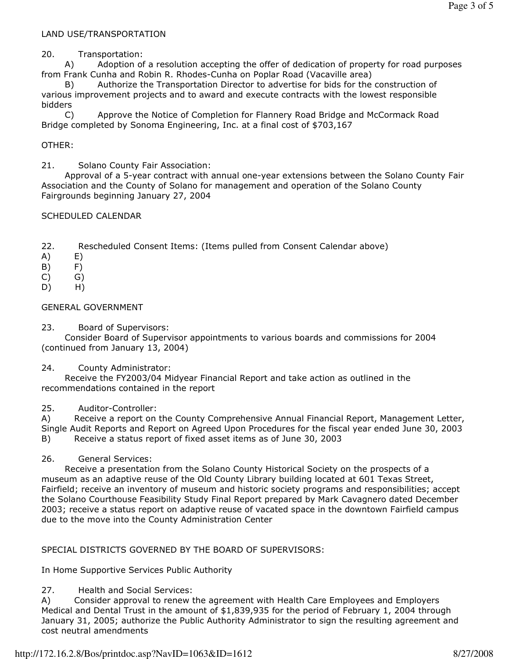## LAND USE/TRANSPORTATION

### 20. Transportation:

 A) Adoption of a resolution accepting the offer of dedication of property for road purposes from Frank Cunha and Robin R. Rhodes-Cunha on Poplar Road (Vacaville area)

 B) Authorize the Transportation Director to advertise for bids for the construction of various improvement projects and to award and execute contracts with the lowest responsible bidders

 C) Approve the Notice of Completion for Flannery Road Bridge and McCormack Road Bridge completed by Sonoma Engineering, Inc. at a final cost of \$703,167

### OTHER:

21. Solano County Fair Association:

 Approval of a 5-year contract with annual one-year extensions between the Solano County Fair Association and the County of Solano for management and operation of the Solano County Fairgrounds beginning January 27, 2004

### SCHEDULED CALENDAR

22. Rescheduled Consent Items: (Items pulled from Consent Calendar above)

- A) E)
- B) F)
- $(C)$   $G)$
- D) H)

### GENERAL GOVERNMENT

23. Board of Supervisors:

 Consider Board of Supervisor appointments to various boards and commissions for 2004 (continued from January 13, 2004)

### 24. County Administrator:

 Receive the FY2003/04 Midyear Financial Report and take action as outlined in the recommendations contained in the report

### 25. Auditor-Controller:

A) Receive a report on the County Comprehensive Annual Financial Report, Management Letter, Single Audit Reports and Report on Agreed Upon Procedures for the fiscal year ended June 30, 2003 B) Receive a status report of fixed asset items as of June 30, 2003

### 26. General Services:

 Receive a presentation from the Solano County Historical Society on the prospects of a museum as an adaptive reuse of the Old County Library building located at 601 Texas Street, Fairfield; receive an inventory of museum and historic society programs and responsibilities; accept the Solano Courthouse Feasibility Study Final Report prepared by Mark Cavagnero dated December 2003; receive a status report on adaptive reuse of vacated space in the downtown Fairfield campus due to the move into the County Administration Center

### SPECIAL DISTRICTS GOVERNED BY THE BOARD OF SUPERVISORS:

In Home Supportive Services Public Authority

## 27. Health and Social Services:

A) Consider approval to renew the agreement with Health Care Employees and Employers Medical and Dental Trust in the amount of \$1,839,935 for the period of February 1, 2004 through January 31, 2005; authorize the Public Authority Administrator to sign the resulting agreement and cost neutral amendments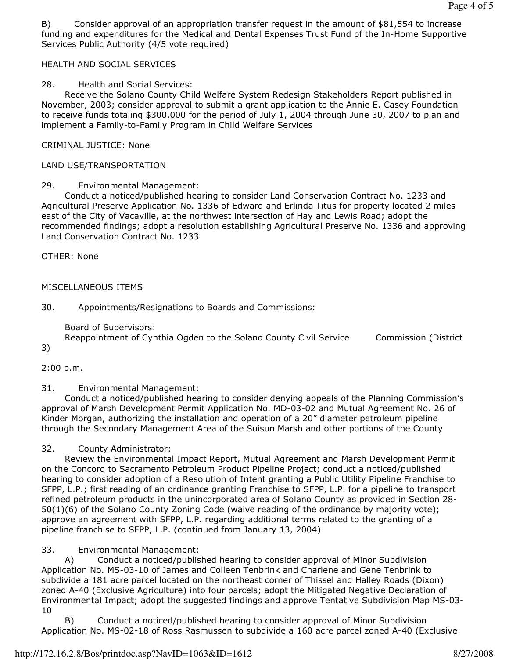B) Consider approval of an appropriation transfer request in the amount of \$81,554 to increase funding and expenditures for the Medical and Dental Expenses Trust Fund of the In-Home Supportive Services Public Authority (4/5 vote required)

## HEALTH AND SOCIAL SERVICES

## 28. Health and Social Services:

 Receive the Solano County Child Welfare System Redesign Stakeholders Report published in November, 2003; consider approval to submit a grant application to the Annie E. Casey Foundation to receive funds totaling \$300,000 for the period of July 1, 2004 through June 30, 2007 to plan and implement a Family-to-Family Program in Child Welfare Services

## CRIMINAL JUSTICE: None

## LAND USE/TRANSPORTATION

## 29. Environmental Management:

 Conduct a noticed/published hearing to consider Land Conservation Contract No. 1233 and Agricultural Preserve Application No. 1336 of Edward and Erlinda Titus for property located 2 miles east of the City of Vacaville, at the northwest intersection of Hay and Lewis Road; adopt the recommended findings; adopt a resolution establishing Agricultural Preserve No. 1336 and approving Land Conservation Contract No. 1233

OTHER: None

### MISCELLANEOUS ITEMS

30. Appointments/Resignations to Boards and Commissions:

Board of Supervisors:

Reappointment of Cynthia Ogden to the Solano County Civil Service Commission (District

3)

2:00 p.m.

### 31. Environmental Management:

 Conduct a noticed/published hearing to consider denying appeals of the Planning Commission's approval of Marsh Development Permit Application No. MD-03-02 and Mutual Agreement No. 26 of Kinder Morgan, authorizing the installation and operation of a 20" diameter petroleum pipeline through the Secondary Management Area of the Suisun Marsh and other portions of the County

32. County Administrator:

 Review the Environmental Impact Report, Mutual Agreement and Marsh Development Permit on the Concord to Sacramento Petroleum Product Pipeline Project; conduct a noticed/published hearing to consider adoption of a Resolution of Intent granting a Public Utility Pipeline Franchise to SFPP, L.P.; first reading of an ordinance granting Franchise to SFPP, L.P. for a pipeline to transport refined petroleum products in the unincorporated area of Solano County as provided in Section 28- 50(1)(6) of the Solano County Zoning Code (waive reading of the ordinance by majority vote); approve an agreement with SFPP, L.P. regarding additional terms related to the granting of a pipeline franchise to SFPP, L.P. (continued from January 13, 2004)

33. Environmental Management:

 A) Conduct a noticed/published hearing to consider approval of Minor Subdivision Application No. MS-03-10 of James and Colleen Tenbrink and Charlene and Gene Tenbrink to subdivide a 181 acre parcel located on the northeast corner of Thissel and Halley Roads (Dixon) zoned A-40 (Exclusive Agriculture) into four parcels; adopt the Mitigated Negative Declaration of Environmental Impact; adopt the suggested findings and approve Tentative Subdivision Map MS-03- 10

 B) Conduct a noticed/published hearing to consider approval of Minor Subdivision Application No. MS-02-18 of Ross Rasmussen to subdivide a 160 acre parcel zoned A-40 (Exclusive